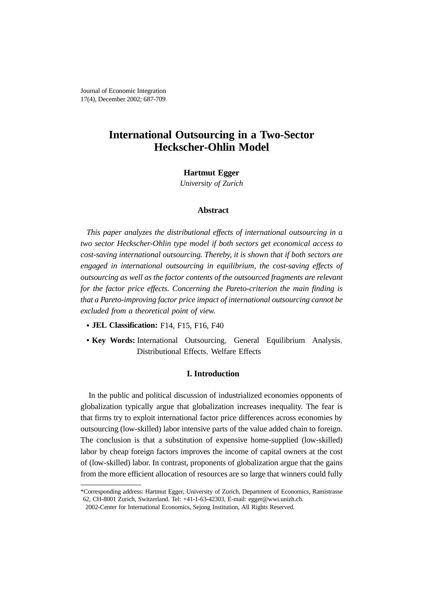Journal of Economic Integration 17(4), December 2002; 687-709

# **International Outsourcing in a Two-Sector Heckscher-Ohlin Model**

# **Hartmut Egger**

*University of Zurich*

# **Abstract**

*This paper analyzes the distributional effects of international outsourcing in a two sector Heckscher-Ohlin type model if both sectors get economical access to cost-saving international outsourcing. Thereby, it is shown that if both sectors are engaged in international outsourcing in equilibrium, the cost-saving effects of outsourcing as well as the factor contents of the outsourced fragments are relevant for the factor price effects. Concerning the Pareto-criterion the main finding is that a Pareto-improving factor price impact of international outsourcing cannot be excluded from a theoretical point of view.*

- **• JEL Classification:** F14, F15, F16, F40
- Key Words: International Outsourcing, General Equilibrium Analysis, Distributional Effects, Welfare Effects

# **I. Introduction**

In the public and political discussion of industrialized economies opponents of globalization typically argue that globalization increases inequality. The fear is that firms try to exploit international factor price differences across economies by outsourcing (low-skilled) labor intensive parts of the value added chain to foreign. The conclusion is that a substitution of expensive home-supplied (low-skilled) labor by cheap foreign factors improves the income of capital owners at the cost of (low-skilled) labor. In contrast, proponents of globalization argue that the gains from the more efficient allocation of resources are so large that winners could fully

<sup>\*</sup>Corresponding address: Hartmut Egger, University of Zurich, Department of Economics, Ramistrasse 62, CH-8001 Zurich, Switzerland. Tel: +41-1-63-42303, E-mail: egger@wwi.unizh.ch.

<sup>2002-</sup>Center for International Economics, Sejong Institution, All Rights Reserved.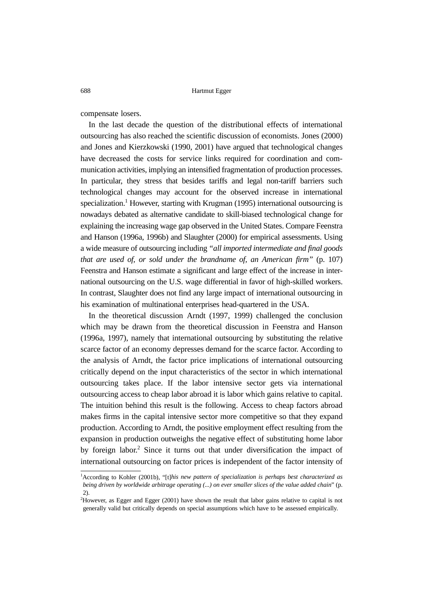compensate losers.

In the last decade the question of the distributional effects of international outsourcing has also reached the scientific discussion of economists. Jones (2000) and Jones and Kierzkowski (1990, 2001) have argued that technological changes have decreased the costs for service links required for coordination and communication activities, implying an intensified fragmentation of production processes. In particular, they stress that besides tariffs and legal non-tariff barriers such technological changes may account for the observed increase in international specialization.<sup>1</sup> However, starting with Krugman (1995) international outsourcing is nowadays debated as alternative candidate to skill-biased technological change for explaining the increasing wage gap observed in the United States. Compare Feenstra and Hanson (1996a, 1996b) and Slaughter (2000) for empirical assessments. Using a wide measure of outsourcing including *"all imported intermediate and final goods that are used of, or sold under the brandname of, an American firm"* (p. 107) Feenstra and Hanson estimate a significant and large effect of the increase in international outsourcing on the U.S. wage differential in favor of high-skilled workers. In contrast, Slaughter does not find any large impact of international outsourcing in his examination of multinational enterprises head-quartered in the USA.

In the theoretical discussion Arndt (1997, 1999) challenged the conclusion which may be drawn from the theoretical discussion in Feenstra and Hanson (1996a, 1997), namely that international outsourcing by substituting the relative scarce factor of an economy depresses demand for the scarce factor. According to the analysis of Arndt, the factor price implications of international outsourcing critically depend on the input characteristics of the sector in which international outsourcing takes place. If the labor intensive sector gets via international outsourcing access to cheap labor abroad it is labor which gains relative to capital. The intuition behind this result is the following. Access to cheap factors abroad makes firms in the capital intensive sector more competitive so that they expand production. According to Arndt, the positive employment effect resulting from the expansion in production outweighs the negative effect of substituting home labor by foreign labor.<sup>2</sup> Since it turns out that under diversification the impact of international outsourcing on factor prices is independent of the factor intensity of

<sup>1</sup> According to Kohler (2001b), "[t]*his new pattern of specialization is perhaps best characterized as being driven by worldwide arbitrage operating (...) on ever smaller slices of the value added chain*" (p. 2).

<sup>2</sup> However, as Egger and Egger (2001) have shown the result that labor gains relative to capital is not generally valid but critically depends on special assumptions which have to be assessed empirically.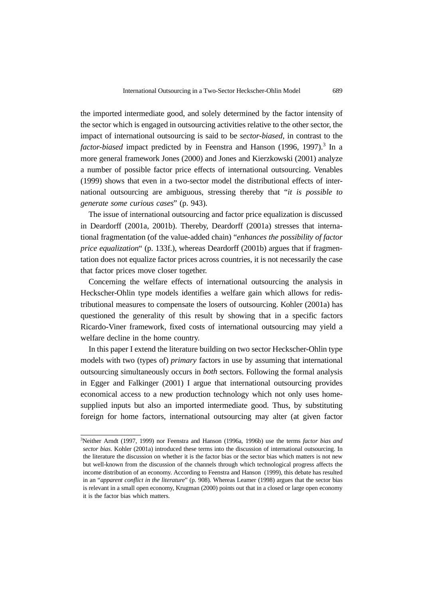the imported intermediate good, and solely determined by the factor intensity of the sector which is engaged in outsourcing activities relative to the other sector, the impact of international outsourcing is said to be *sector-biased*, in contrast to the *factor-biased* impact predicted by in Feenstra and Hanson (1996, 1997).<sup>3</sup> In a more general framework Jones (2000) and Jones and Kierzkowski (2001) analyze a number of possible factor price effects of international outsourcing. Venables (1999) shows that even in a two-sector model the distributional effects of international outsourcing are ambiguous, stressing thereby that "*it is possible to generate some curious cases*" (p. 943).

The issue of international outsourcing and factor price equalization is discussed in Deardorff (2001a, 2001b). Thereby, Deardorff (2001a) stresses that international fragmentation (of the value-added chain) "*enhances the possibility of factor price equalization*" (p. 133f.), whereas Deardorff (2001b) argues that if fragmentation does not equalize factor prices across countries, it is not necessarily the case that factor prices move closer together.

Concerning the welfare effects of international outsourcing the analysis in Heckscher-Ohlin type models identifies a welfare gain which allows for redistributional measures to compensate the losers of outsourcing. Kohler (2001a) has questioned the generality of this result by showing that in a specific factors Ricardo-Viner framework, fixed costs of international outsourcing may yield a welfare decline in the home country.

In this paper I extend the literature building on two sector Heckscher-Ohlin type models with two (types of) *primary* factors in use by assuming that international outsourcing simultaneously occurs in *both* sectors. Following the formal analysis in Egger and Falkinger (2001) I argue that international outsourcing provides economical access to a new production technology which not only uses homesupplied inputs but also an imported intermediate good. Thus, by substituting foreign for home factors, international outsourcing may alter (at given factor

<sup>3</sup> Neither Arndt (1997, 1999) nor Feenstra and Hanson (1996a, 1996b) use the terms *factor bias and sector bias*. Kohler (2001a) introduced these terms into the discussion of international outsourcing. In the literature the discussion on whether it is the factor bias or the sector bias which matters is not new but well-known from the discussion of the channels through which technological progress affects the income distribution of an economy. According to Feenstra and Hanson (1999), this debate has resulted in an "*apparent conflict in the literature*" (p. 908). Whereas Leamer (1998) argues that the sector bias is relevant in a small open economy, Krugman (2000) points out that in a closed or large open economy it is the factor bias which matters.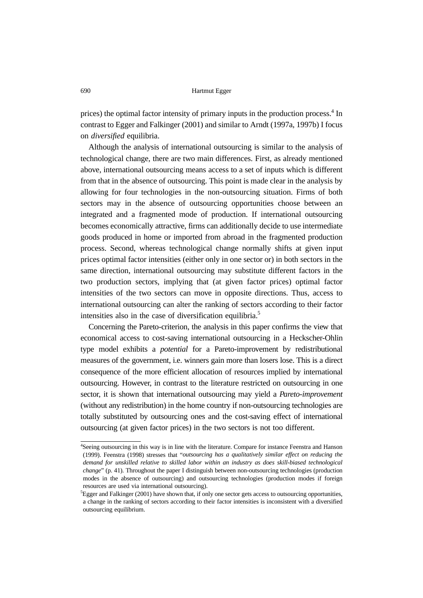prices) the optimal factor intensity of primary inputs in the production process.<sup>4</sup> In contrast to Egger and Falkinger (2001) and similar to Arndt (1997a, 1997b) I focus on *diversified* equilibria.

Although the analysis of international outsourcing is similar to the analysis of technological change, there are two main differences. First, as already mentioned above, international outsourcing means access to a set of inputs which is different from that in the absence of outsourcing. This point is made clear in the analysis by allowing for four technologies in the non-outsourcing situation. Firms of both sectors may in the absence of outsourcing opportunities choose between an integrated and a fragmented mode of production. If international outsourcing becomes economically attractive, firms can additionally decide to use intermediate goods produced in home or imported from abroad in the fragmented production process. Second, whereas technological change normally shifts at given input prices optimal factor intensities (either only in one sector or) in both sectors in the same direction, international outsourcing may substitute different factors in the two production sectors, implying that (at given factor prices) optimal factor intensities of the two sectors can move in opposite directions. Thus, access to international outsourcing can alter the ranking of sectors according to their factor intensities also in the case of diversification equilibria.<sup>5</sup>

Concerning the Pareto-criterion, the analysis in this paper confirms the view that economical access to cost-saving international outsourcing in a Heckscher-Ohlin type model exhibits a *potential* for a Pareto-improvement by redistributional measures of the government, i.e. winners gain more than losers lose. This is a direct consequence of the more efficient allocation of resources implied by international outsourcing. However, in contrast to the literature restricted on outsourcing in one sector, it is shown that international outsourcing may yield a *Pareto-improvement* (without any redistribution) in the home country if non-outsourcing technologies are totally substituted by outsourcing ones and the cost-saving effect of international outsourcing (at given factor prices) in the two sectors is not too different.

<sup>4</sup> Seeing outsourcing in this way is in line with the literature. Compare for instance Feenstra and Hanson (1999). Feenstra (1998) stresses that "*outsourcing has a qualitatively similar effect on reducing the demand for unskilled relative to skilled labor within an industry as does skill-biased technological change*" (p. 41). Throughout the paper I distinguish between non-outsourcing technologies (production modes in the absence of outsourcing) and outsourcing technologies (production modes if foreign resources are used via international outsourcing).

<sup>5</sup> Egger and Falkinger (2001) have shown that, if only one sector gets access to outsourcing opportunities, a change in the ranking of sectors according to their factor intensities is inconsistent with a diversified outsourcing equilibrium.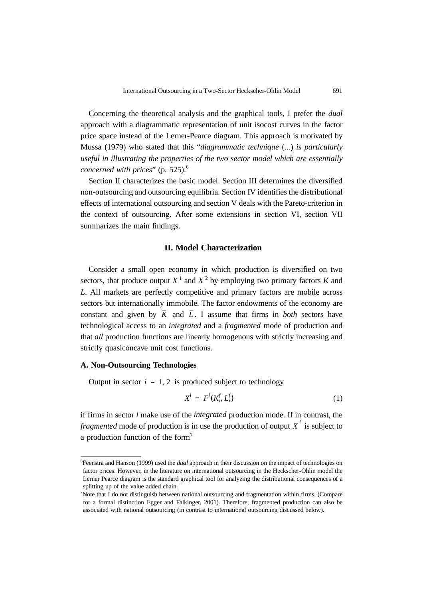Concerning the theoretical analysis and the graphical tools, I prefer the *dual* approach with a diagrammatic representation of unit isocost curves in the factor price space instead of the Lerner-Pearce diagram. This approach is motivated by Mussa (1979) who stated that this "*diagrammatic technique* (...) *is particularly useful in illustrating the properties of the two sector model which are essentially concerned with prices*" (p. 525).<sup>6</sup>

Section II characterizes the basic model. Section III determines the diversified non-outsourcing and outsourcing equilibria. Section IV identifies the distributional effects of international outsourcing and section V deals with the Pareto-criterion in the context of outsourcing. After some extensions in section VI, section VII summarizes the main findings.

## **II. Model Characterization**

Consider a small open economy in which production is diversified on two sectors, that produce output  $X<sup>1</sup>$  and  $X<sup>2</sup>$  by employing two primary factors K and *L*. All markets are perfectly competitive and primary factors are mobile across sectors but internationally immobile. The factor endowments of the economy are constant and given by  $\overline{K}$  and  $\overline{L}$ . I assume that firms in *both* sectors have technological access to an *integrated* and a *fragmented* mode of production and that *all* production functions are linearly homogenous with strictly increasing and strictly quasiconcave unit cost functions.

# **A. Non-Outsourcing Technologies**

Output in sector  $i = 1, 2$  is produced subject to technology

$$
X^i = F^i(K_i^f, L_i^f) \tag{1}
$$

if firms in sector *i* make use of the *integrated* production mode. If in contrast, the *fragmented* mode of production is in use the production of output  $X^i$  is subject to a production function of the form<sup>7</sup>

<sup>6</sup> Feenstra and Hanson (1999) used the *dual* approach in their discussion on the impact of technologies on factor prices. However, in the literature on international outsourcing in the Heckscher-Ohlin model the Lerner Pearce diagram is the standard graphical tool for analyzing the distributional consequences of a splitting up of the value added chain.

<sup>7</sup> Note that I do not distinguish between national outsourcing and fragmentation within firms. (Compare for a formal distinction Egger and Falkinger, 2001). Therefore, fragmented production can also be associated with national outsourcing (in contrast to international outsourcing discussed below).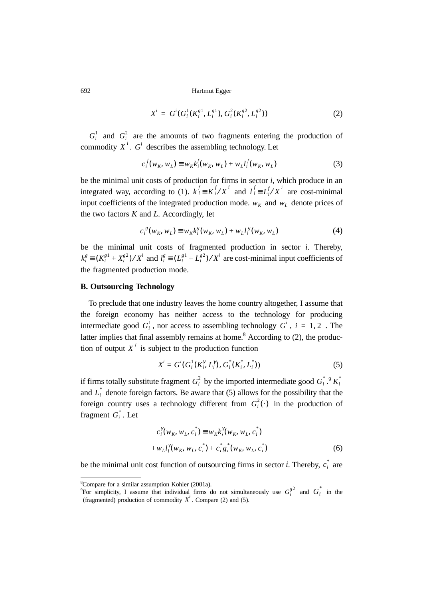$$
X^{i} = G^{i}(G_{i}^{1}(K_{i}^{g1}, L_{i}^{g1}), G_{i}^{2}(K_{i}^{g2}, L_{i}^{g2}))
$$
\n(2)

 $G_i^1$  and  $G_i^2$  are the amounts of two fragments entering the production of commodity  $X^i$ .  $G^i$  describes the assembling technology. Let

$$
c_i^f(w_K, w_L) \equiv w_K k_i^f(w_K, w_L) + w_L l_i^f(w_K, w_L)
$$
 (3)

be the minimal unit costs of production for firms in sector *i*, which produce in an integrated way, according to (1).  $k_i^f \equiv K_i^f / X^i$  and  $l_i^f \equiv L_i^f / X^i$  are cost-minimal input coefficients of the integrated production mode.  $w_K$  and  $w_L$  denote prices of the two factors *K* and *L*. Accordingly, let

$$
c_i^{\ s}(w_K, w_L) \equiv w_K k_i^s(w_K, w_L) + w_L l_i^s(w_K, w_L)
$$
 (4)

be the minimal unit costs of fragmented production in sector *i*. Thereby,  $k_i^g \equiv (K_i^{g1} + X_i^{g2})/X^i$  and  $l_i^g \equiv (L_i^{g1} + L_i^{g2})/X^i$  are cost-minimal input coefficients of the fragmented production mode.

#### **B. Outsourcing Technology**

To preclude that one industry leaves the home country altogether, I assume that the foreign economy has neither access to the technology for producing intermediate good  $G_i^1$ , nor access to assembling technology  $G^i$ ,  $i = 1, 2$ . The latter implies that final assembly remains at home.<sup>8</sup> According to  $(2)$ , the production of output  $X<sup>i</sup>$  is subject to the production function

$$
X^{i} = G^{i}(G_{i}^{1}(K_{i}^{\gamma}, L_{i}^{\gamma}), G_{i}^{*}(K_{i}^{*}, L_{i}^{*}))
$$
\n(5)

if firms totally substitute fragment  $G_i^2$  by the imported intermediate good  $G_i^*$ .<sup>9</sup>  $K_i^*$ and  $L_i^*$  denote foreign factors. Be aware that (5) allows for the possibility that the foreign country uses a technology different from  $G_i^2(\cdot)$  in the production of fragment  $G_i^*$ . Let

$$
c_i^{\gamma}(w_K, w_L, c_i^*) \equiv w_K k_i^{\gamma}(w_K, w_L, c_i^*)
$$
  
+ 
$$
w_L l_i^{\gamma}(w_K, w_L, c_i^*) + c_i^* g_i^*(w_K, w_L, c_i^*)
$$
 (6)

be the minimal unit cost function of outsourcing firms in sector *i*. Thereby,  $c_i^*$  are

<sup>8</sup> Compare for a similar assumption Kohler (2001a).

<sup>&</sup>lt;sup>9</sup>For simplicity, I assume that individual firms do not simultaneously use  $G_i^{\xi^2}$  and  $G_i$  in the (fragmented) production of commodity  $X'$ . Compare (2) and (5).  $G_i^{g2}$  and  $G_i^*$ *Xi*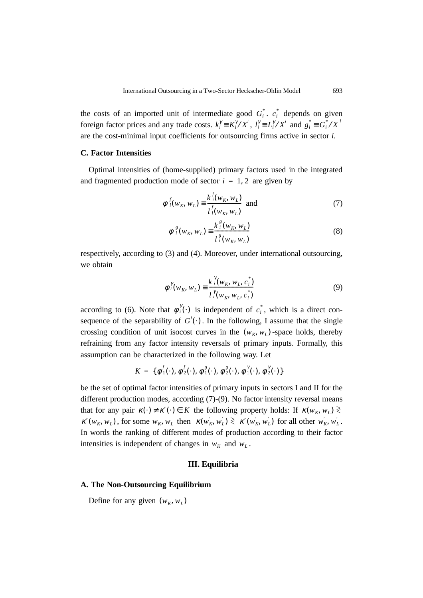the costs of an imported unit of intermediate good  $G_i^*$ .  $c_i^*$  depends on given foreign factor prices and any trade costs.  $k_i^{\gamma} \equiv K_i^{\gamma}/X^i$ ,  $l_i^{\gamma} \equiv L_i^{\gamma}/X^i$  and  $g_i^* \equiv G_i^* / X^i$ are the cost-minimal input coefficients for outsourcing firms active in sector *i*.

# **C. Factor Intensities**

Optimal intensities of (home-supplied) primary factors used in the integrated and fragmented production mode of sector  $i = 1, 2$  are given by

$$
\phi^{f}(w_{K}, w_{L}) \equiv \frac{k^{f}(w_{K}, w_{L})}{l^{f}(w_{K}, w_{L})}
$$
 and (7)

$$
\phi_i^g(w_K, w_L) \equiv \frac{k_i^g(w_K, w_L)}{l_i^g(w_K, w_L)}
$$
(8)

respectively, according to (3) and (4). Moreover, under international outsourcing, we obtain

$$
\phi_i^{\gamma}(w_K, w_L) \equiv \frac{k_i^{\gamma}(w_K, w_L, c_i^*)}{l_i^{\gamma}(w_K, w_L, c_i^*)}
$$
\n(9)

according to (6). Note that  $\phi_i^{\gamma}(\cdot)$  is independent of  $c_i^*$ , which is a direct consequence of the separability of  $G^i(\cdot)$ . In the following, I assume that the single crossing condition of unit isocost curves in the  $(w_K, w_L)$ -space holds, thereby refraining from any factor intensity reversals of primary inputs. Formally, this assumption can be characterized in the following way. Let

$$
K = \{ \phi_1^f(\cdot), \phi_2^f(\cdot), \phi_1^g(\cdot), \phi_2^g(\cdot), \phi_1^f(\cdot), \phi_2^f(\cdot) \}
$$

be the set of optimal factor intensities of primary inputs in sectors I and II for the different production modes, according (7)-(9). No factor intensity reversal means that for any pair  $\kappa(\cdot) \neq \kappa'(\cdot) \in K$  the following property holds: If  $\kappa(w_K, w_L) \geq$  $\kappa'(w_K, w_L)$ , for some  $w_K, w_L$  then  $\kappa(w_K', w_L') \geq \kappa'(w_K', w_L')$  for all other  $w_K', w_L'$ . In words the ranking of different modes of production according to their factor intensities is independent of changes in  $w_K$  and  $w_L$ .

### **III. Equilibria**

#### **A. The Non-Outsourcing Equilibrium**

Define for any given  $(w_K, w_L)$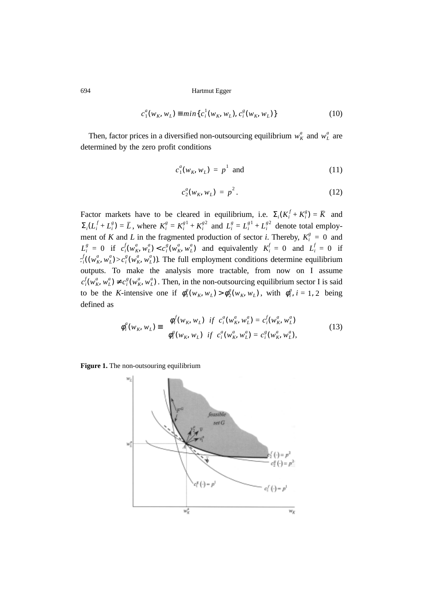$$
c_1^a(w_K, w_L) \equiv \min\{c_i^1(w_K, w_L), c_i^g(w_K, w_L)\}\
$$
 (10)

Then, factor prices in a diversified non-outsourcing equilibrium  $w_K^a$  and  $w_L^a$  are determined by the zero profit conditions

$$
c_1^a(w_K, w_L) = p^1 \quad \text{and} \tag{11}
$$

$$
c_2^a(w_K, w_L) = p^2.
$$
 (12)

Factor markets have to be cleared in equilibrium, i.e.  $\Sigma_i(K_i^J + K_i^g) = \overline{K}$  and , where  $K_i^g = K_i^{g_1} + K_i^{g_2}$  and  $L_i^g = L_i^{g_1} + L_i^{g_2}$  denote total employment of *K* and *L* in the fragmented production of sector *i*. Thereby,  $K_i^g = 0$  and  $L_i^g = 0$  if  $c_i^f(w_K^a, w_L^a) < c_i^g(w_K^a, w_L^a)$  and equivalently  $K_i^f = 0$  and  $L_i^f = 0$  if  $c_i^f((w_K^a, w_L^a) > c_i^g(w_K^a, w_L^a))$ . The full employment conditions determine equilibrium outputs. To make the analysis more tractable, from now on I assume  $c_i^f(w_K^a, w_L^a) \neq c_i^g(w_K^a, w_L^a)$ . Then, in the non-outsourcing equilibrium sector I is said to be the *K*-intensive one if  $\phi_1^a(w_K, w_L) > \phi_2^a(w_K, w_L)$ , with  $\phi_i^a$ ,  $i = 1, 2$  being defined as  $\Sigma_i (K_i^f + K_i^g) = \overline{K}$  $\Sigma_i(L_i^f + L_i^g) = \overline{L}$ , where  $K_i^g = K_i^{g1} + K_i^{g2}$  and  $L_i^g = L_i^{g1} + L_i^{g2}$ 

$$
\phi_i^a(w_K, w_L) \equiv \begin{cases} \phi_i^f(w_K, w_L) & \text{if } c_i^a(w_K^a, w_L^a) = c_i^f(w_K^a, w_L^a) \\ \phi_i^g(w_K, w_L) & \text{if } c_i^a(w_K^a, w_L^a) = c_i^g(w_K^a, w_L^a), \end{cases}
$$
(13)

**Figure 1.** The non-outsouring equilibrium

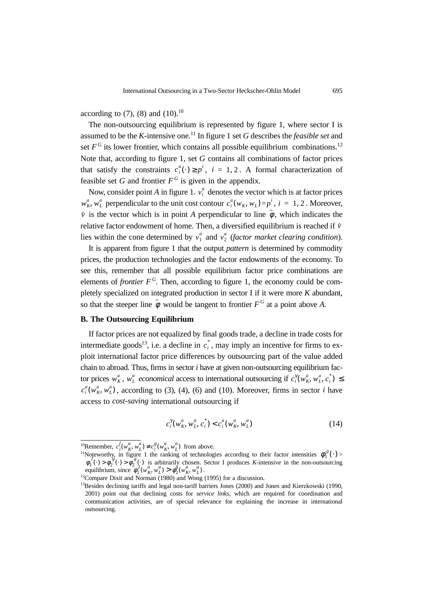according to  $(7)$ ,  $(8)$  and  $(10).^{10}$ 

The non-outsourcing equilibrium is represented by figure 1, where sector I is assumed to be the  $K$ -intensive one.<sup>11</sup> In figure 1 set  $G$  describes the *feasible set* and set  $F^G$  its lower frontier, which contains all possible equilibrium combinations.<sup>12</sup> Note that, according to figure 1, set *G* contains all combinations of factor prices that satisfy the constraints  $c_i^a(\cdot) \geq p^i$ ,  $i = 1, 2$ . A formal characterization of feasible set *G* and frontier  $F^G$  is given in the appendix.

Now, consider point *A* in figure 1.  $v_i^a$  denotes the vector which is at factor prices  $w_K^a$ ,  $w_L^a$  perpendicular to the unit cost contour  $c_i^a(w_K, w_L) = p^i$ ,  $i = 1, 2$ . Moreover,  $\overline{v}$  is the vector which is in point *A* perpendicular to line  $\phi$ , which indicates the relative factor endowment of home. Then, a diversified equilibrium is reached if *v* lies within the cone determined by  $v_1^a$  and  $v_2^a$  (*factor market clearing condition*).

It is apparent from figure 1 that the output *pattern* is determined by commodity prices, the production technologies and the factor endowments of the economy. To see this, remember that all possible equilibrium factor price combinations are elements of *frontier*  $F^G$ . Then, according to figure 1, the economy could be completely specialized on integrated production in sector I if it were more *K* abundant, so that the steeper line  $\phi$  would be tangent to frontier  $F^G$  at a point above A.

# **B. The Outsourcing Equilibrium**

If factor prices are not equalized by final goods trade, a decline in trade costs for intermediate goods<sup>13</sup>, i.e. a decline in  $c_i^*$ , may imply an incentive for firms to exploit international factor price differences by outsourcing part of the value added chain to abroad. Thus, firms in sector *i* have at given non-outsourcing equilibrium factor prices  $w_K^a$ ,  $w_L^a$  *economical* access to international outsourcing if  $c_i^{\gamma}(w_K^a, w_L^a, c_i^*) \leq$  $c_i^a(w_k^a, w_L^a)$ , according to (3), (4), (6) and (10). Moreover, firms in sector *i* have access to *cost-saving* international outsourcing if

$$
c_i^{\gamma}(w_K^a, w_L^a, c_i^*) < c_i^a(w_K^a, w_L^a)
$$
 (14)

<sup>&</sup>lt;sup>10</sup>Remember,  $c_j^I(w_K^a, w_L^a) \neq c_i^g(w_K^a, w_L^a)$  from above.  $c_i^f(w_K^a, w_L^a) \neq c_i^g(w_K^a, w_L^a)$ 

<sup>&</sup>lt;sup>11</sup>Noteworthy, in figure 1 the ranking of technologies according to their factor intensities  $\phi_1^g(\cdot)$  is arbitrarily chosen. Sector I produces *K*-intensive in the non-outsourcing equilibrium, since  $\phi_1'(w_K^u, w_I^u) > \phi_2^s(w_K^u, w_I^u)$ .  $\phi_1^{\,g}(\cdot)$  $\phi_1^f(\cdot) > \phi_2^g(\cdot) > \phi_2^g(\cdot)$  $\phi_1^f(w_K^a, w_L^a) > \phi_2^g(w_K^a, w_L^a)$ 

<sup>&</sup>lt;sup>12</sup>Compare Dixit and Norman (1980) and Wong (1995) for a discussion.

<sup>&</sup>lt;sup>13</sup>Besides declining tariffs and legal non-tariff barriers Jones (2000) and Jones and Kierzkowski (1990, 2001) point out that declining costs for *service links*, which are required for coordination and communication activities, are of special relevance for explaining the increase in international outsourcing.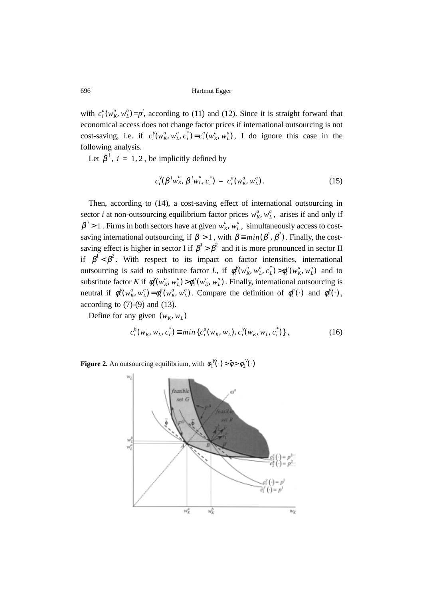with  $c_i^a(w_k^a, w_L^a) = p^i$ , according to (11) and (12). Since it is straight forward that economical access does not change factor prices if international outsourcing is not cost-saving, i.e. if  $c_i^{\gamma}(w_K^a, w_L^a, c_i^*) = c_i^a(w_K^a, w_L^a)$ , I do ignore this case in the following analysis.

Let  $\beta^i$ , *i* = 1, 2, be implicitly defined by

$$
c_i^{\gamma}(\beta^i w_K^a, \beta^i w_L^a, c_i^*) = c_i^a(w_K^a, w_L^a).
$$
 (15)

Then, according to (14), a cost-saving effect of international outsourcing in sector *i* at non-outsourcing equilibrium factor prices  $w_K^a$ ,  $w_L^a$ , arises if and only if  $\beta$ <sup>*i*</sup> > 1. Firms in both sectors have at given  $w_k^a$ ,  $w_L^a$ , simultaneously access to costsaving international outsourcing, if  $\beta > 1$ , with  $\beta \equiv min(\beta^1, \beta^2)$ . Finally, the costsaving effect is higher in sector I if  $\beta^1 > \beta^2$  and it is more pronounced in sector II if  $\beta^1 < \beta^2$ . With respect to its impact on factor intensities, international outsourcing is said to substitute factor *L*, if  $\phi_i^{\gamma}(w_k^a, w_L^a, c_L^*) > \phi_i^a(w_k^a, w_L^a)$  and to substitute factor *K* if  $\phi_i^{\gamma}(w_K^a, w_L^a) > \phi_i^a(w_K^a, w_L^a)$ . Finally, international outsourcing is neutral if  $\phi_i^{\gamma}(w_k^a, w_L^a) = \phi_i^a(w_k^a, w_L^a)$ . Compare the definition of  $\phi_i^a(\cdot)$  and  $\phi_i^{\gamma}(\cdot)$ , according to  $(7)-(9)$  and  $(13)$ .

Define for any given  $(w_K, w_L)$ 

$$
c_i^b(w_K, w_L, c_i^*) \equiv \min\{c_i^a(w_K, w_L), c_i^{\gamma}(w_K, w_L, c_i^*)\},\tag{16}
$$

**Figure 2.** An outsourcing equilibrium, with  $\phi_1^{\gamma}(\cdot) > \bar{\phi} > \phi_2^{\gamma}(\cdot)$ 

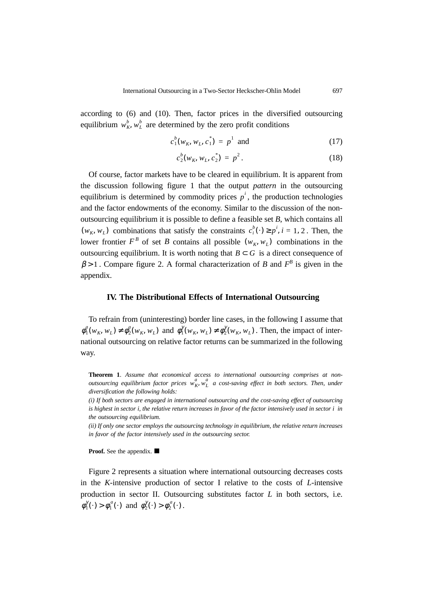according to (6) and (10). Then, factor prices in the diversified outsourcing equilibrium  $w_K^b$ ,  $w_L^b$  are determined by the zero profit conditions

$$
c_1^b(w_K, w_L, c_1^*) = p^1 \text{ and } (17)
$$

$$
c_2^b(w_K, w_L, c_2^*) = p^2.
$$
 (18)

Of course, factor markets have to be cleared in equilibrium. It is apparent from the discussion following figure 1 that the output *pattern* in the outsourcing equilibrium is determined by commodity prices  $p^i$ , the production technologies and the factor endowments of the economy. Similar to the discussion of the nonoutsourcing equilibrium it is possible to define a feasible set *B*, which contains all  $(w_K, w_L)$  combinations that satisfy the constraints  $c_i^b(\cdot) \geq p^i$ ,  $i = 1, 2$ . Then, the lower frontier  $F^B$  of set *B* contains all possible  $(w_K, w_L)$  combinations in the outsourcing equilibrium. It is worth noting that  $B \subset G$  is a direct consequence of  $\beta$  > 1. Compare figure 2. A formal characterization of *B* and  $F^B$  is given in the appendix.

#### **IV. The Distributional Effects of International Outsourcing**

To refrain from (uninteresting) border line cases, in the following I assume that  $\phi_1^a(w_K, w_L) \neq \phi_2^a(w_K, w_L)$  and  $\phi_1^{\gamma}(w_K, w_L) \neq \phi_2^{\gamma}(w_K, w_L)$ . Then, the impact of international outsourcing on relative factor returns can be summarized in the following way.

**Theorem 1**. *Assume that economical access to international outsourcing comprises at nonoutsourcing equilibrium factor prices*  $w_K^a$ ,  $w_L^a$  *a cost-saving effect in both sectors. Then, under diversification the following holds:*

*(i) If both sectors are engaged in international outsourcing and the cost-saving effect of outsourcing is highest in sector i, the relative return increases in favor of the factor intensively used in sector i in the outsourcing equilibrium.*

*(ii) If only one sector employs the outsourcing technology in equilibrium, the relative return increases in favor of the factor intensively used in the outsourcing sector.*

**Proof.** See the appendix.

Figure 2 represents a situation where international outsourcing decreases costs in the *K*-intensive production of sector I relative to the costs of *L*-intensive production in sector II. Outsourcing substitutes factor *L* in both sectors, i.e.  $\phi_1^{\gamma}(\cdot) > \phi_1^{\alpha}(\cdot)$  and  $\phi_2^{\gamma}(\cdot) > \phi_2^{\alpha}(\cdot)$ .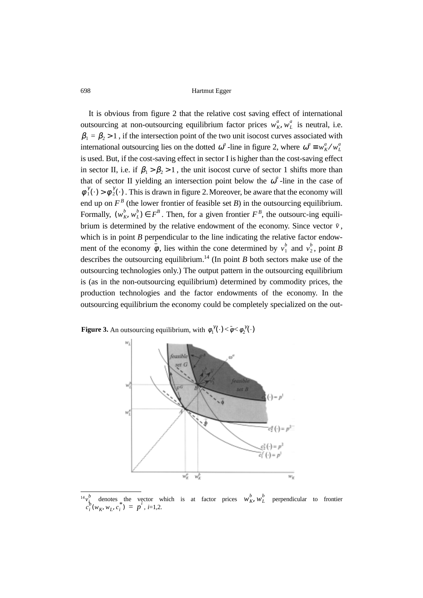It is obvious from figure 2 that the relative cost saving effect of international outsourcing at non-outsourcing equilibrium factor prices  $w_K^a, w_L^a$  is neutral, i.e.  $\beta_1 = \beta_2 > 1$ , if the intersection point of the two unit isocost curves associated with international outsourcing lies on the dotted  $\omega^a$ -line in figure 2, where  $\omega^a \equiv w_K^a / w_L^a$ is used. But, if the cost-saving effect in sector I is higher than the cost-saving effect in sector II, i.e. if  $\beta_1 > \beta_2 > 1$ , the unit isocost curve of sector 1 shifts more than that of sector II yielding an intersection point below the  $\omega^a$ -line in the case of  $\phi_1^{\gamma}(\cdot) > \phi_2^{\gamma}(\cdot)$ . This is drawn in figure 2. Moreover, be aware that the economy will end up on  $F^B$  (the lower frontier of feasible set *B*) in the outsourcing equilibrium. Formally,  $(w_K^b, w_L^b) \in F^B$ . Then, for a given frontier  $F^B$ , the outsourc-ing equilibrium is determined by the relative endowment of the economy. Since vector  $\bar{v}$ , which is in point *B* perpendicular to the line indicating the relative factor endowment of the economy  $\bar{\phi}$ , lies within the cone determined by  $v_1^b$  and  $v_2^b$ , point *B* describes the outsourcing equilibrium.<sup>14</sup> (In point *B* both sectors make use of the outsourcing technologies only.) The output pattern in the outsourcing equilibrium is (as in the non-outsourcing equilibrium) determined by commodity prices, the production technologies and the factor endowments of the economy. In the outsourcing equilibrium the economy could be completely specialized on the out-

**Figure 3.** An outsourcing equilibrium, with  $\phi_1^{\gamma}(\cdot) < \phi < \phi_2^{\gamma}(\cdot)$ 



 $14v_i^b$  denotes the vector which is at factor prices  $w_i^b, w_i^b$  perpendicular to frontier , *i*=1,2.  $v_i^{\prime}$ *b*  $w_K^b$ ,  $w_L^b$ *ci*  $b_i^b(w_K, w_L, c_i^*) = p^i$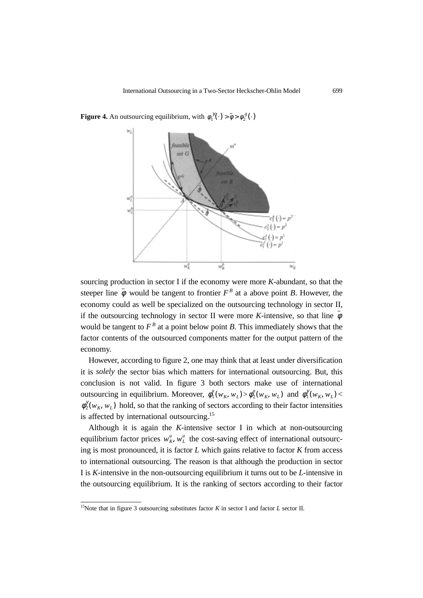

**Figure 4.** An outsourcing equilibrium, with  $\phi_1^{\gamma}(\cdot) > \bar{\phi} > \phi_2^{\gamma}(\cdot)$ 

sourcing production in sector I if the economy were more *K*-abundant, so that the steeper line  $\phi$  would be tangent to frontier  $F^B$  at a above point *B*. However, the economy could as well be specialized on the outsourcing technology in sector II, if the outsourcing technology in sector II were more *K*-intensive, so that line  $\phi$ would be tangent to  $F^B$  at a point below point *B*. This immediately shows that the factor contents of the outsourced components matter for the output pattern of the economy.

However, according to figure 2, one may think that at least under diversification it is *solely* the sector bias which matters for international outsourcing. But, this conclusion is not valid. In figure 3 both sectors make use of international outsourcing in equilibrium. Moreover,  $\phi_1^a(w_K, w_L) > \phi_2^a(w_K, w_L)$  and  $\phi_1^{\gamma}(w_K, w_L) <$  $\phi_2^{\gamma}(w_K, w_L)$  hold, so that the ranking of sectors according to their factor intensities is affected by international outsourcing.<sup>15</sup>

Although it is again the *K*-intensive sector I in which at non-outsourcing equilibrium factor prices  $w_K^a$ ,  $w_L^a$  the cost-saving effect of international outsourcing is most pronounced, it is factor *L* which gains relative to factor *K* from access to international outsourcing. The reason is that although the production in sector I is *K*-intensive in the non-outsourcing equilibrium it turns out to be *L*-intensive in the outsourcing equilibrium. It is the ranking of sectors according to their factor

<sup>15</sup>Note that in figure 3 outsourcing substitutes factor *K* in sector I and factor *L* sector II.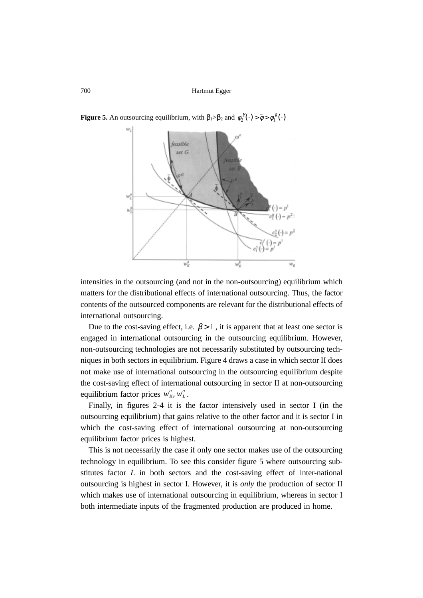

**Figure 5.** An outsourcing equilibrium, with  $\beta_1 > \beta_2$  and  $\phi_2^{\gamma}(\cdot) > \bar{\phi} > \phi_1^{\gamma}(\cdot)$ 

intensities in the outsourcing (and not in the non-outsourcing) equilibrium which matters for the distributional effects of international outsourcing. Thus, the factor contents of the outsourced components are relevant for the distributional effects of international outsourcing.

Due to the cost-saving effect, i.e.  $\beta > 1$ , it is apparent that at least one sector is engaged in international outsourcing in the outsourcing equilibrium. However, non-outsourcing technologies are not necessarily substituted by outsourcing techniques in both sectors in equilibrium. Figure 4 draws a case in which sector II does not make use of international outsourcing in the outsourcing equilibrium despite the cost-saving effect of international outsourcing in sector II at non-outsourcing equilibrium factor prices  $w_K^a$ ,  $w_L^a$ .

Finally, in figures 2-4 it is the factor intensively used in sector I (in the outsourcing equilibrium) that gains relative to the other factor and it is sector I in which the cost-saving effect of international outsourcing at non-outsourcing equilibrium factor prices is highest.

This is not necessarily the case if only one sector makes use of the outsourcing technology in equilibrium. To see this consider figure 5 where outsourcing substitutes factor *L* in both sectors and the cost-saving effect of inter-national outsourcing is highest in sector I. However, it is *only* the production of sector II which makes use of international outsourcing in equilibrium, whereas in sector I both intermediate inputs of the fragmented production are produced in home.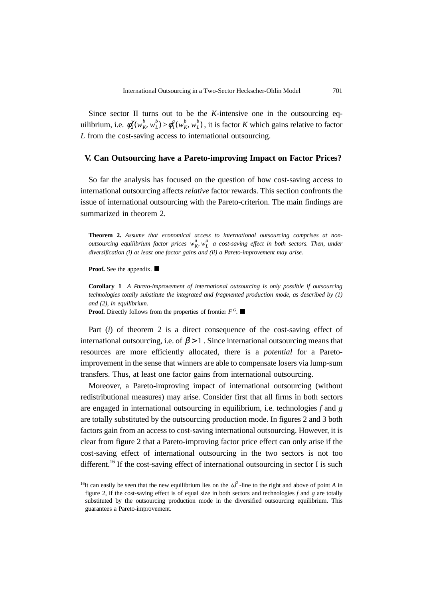Since sector II turns out to be the *K*-intensive one in the outsourcing equilibrium, i.e.  $\phi_2^{\gamma}(w_K^b, w_L^b) > \phi_1^g(w_K^b, w_L^b)$ , it is factor K which gains relative to factor *L* from the cost-saving access to international outsourcing.

#### **V. Can Outsourcing have a Pareto-improving Impact on Factor Prices?**

So far the analysis has focused on the question of how cost-saving access to international outsourcing affects *relative* factor rewards. This section confronts the issue of international outsourcing with the Pareto-criterion. The main findings are summarized in theorem 2.

**Theorem 2.** *Assume that economical access to international outsourcing comprises at nonoutsourcing equilibrium factor prices*  $w_K^a$ ,  $w_L^a$  *a cost-saving effect in both sectors. Then, under diversification (i) at least one factor gains and (ii) a Pareto-improvement may arise.*

**Proof.** See the appendix.

**Corollary 1** *A Pareto-improvement of international outsourcing is only possible if outsourcing technologies totally substitute the integrated and fragmented production mode, as described by (1) and (2), in equilibrium.*

**Proof.** Directly follows from the properties of frontier  $F^G$ .

Part (*i*) of theorem 2 is a direct consequence of the cost-saving effect of international outsourcing, i.e. of  $\beta > 1$ . Since international outsourcing means that resources are more efficiently allocated, there is a *potential* for a Paretoimprovement in the sense that winners are able to compensate losers via lump-sum transfers. Thus, at least one factor gains from international outsourcing.

Moreover, a Pareto-improving impact of international outsourcing (without redistributional measures) may arise. Consider first that all firms in both sectors are engaged in international outsourcing in equilibrium, i.e. technologies *f* and *g* are totally substituted by the outsourcing production mode. In figures 2 and 3 both factors gain from an access to cost-saving international outsourcing. However, it is clear from figure 2 that a Pareto-improving factor price effect can only arise if the cost-saving effect of international outsourcing in the two sectors is not too different.<sup>16</sup> If the cost-saving effect of international outsourcing in sector I is such

<sup>&</sup>lt;sup>16</sup>It can easily be seen that the new equilibrium lies on the  $\omega^a$ -line to the right and above of point *A* in figure 2, if the cost-saving effect is of equal size in both sectors and technologies *f* and *g* are totally substituted by the outsourcing production mode in the diversified outsourcing equilibrium. This guarantees a Pareto-improvement.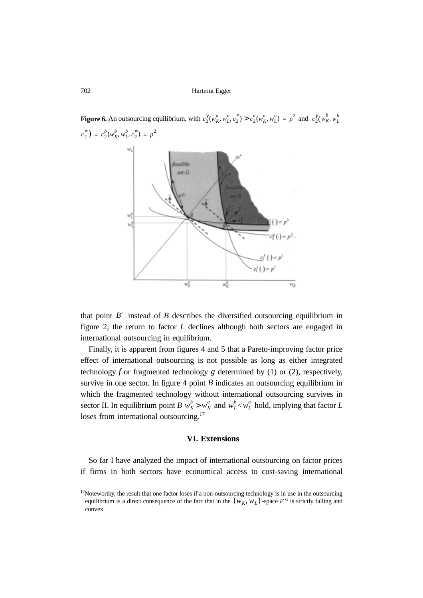

that point  $B'$  instead of  $B$  describes the diversified outsourcing equilibrium in figure 2, the return to factor *L* declines although both sectors are engaged in international outsourcing in equilibrium.

Finally, it is apparent from figures 4 and 5 that a Pareto-improving factor price effect of international outsourcing is not possible as long as either integrated technology *f* or fragmented technology *g* determined by (1) or (2), respectively, survive in one sector. In figure  $4$  point  $B$  indicates an outsourcing equilibrium in which the fragmented technology without international outsourcing survives in sector II. In equilibrium point *B*  $w_K^b > w_K^a$  and  $w_L^b < w_L^a$  hold, implying that factor *L* loses from international outsourcing.<sup>17</sup>

# **VI. Extensions**

So far I have analyzed the impact of international outsourcing on factor prices if firms in both sectors have economical access to cost-saving international

<sup>&</sup>lt;sup>17</sup>Noteworthy, the result that one factor loses if a non-outsourcing technology is in use in the outsourcing equilibrium is a direct consequence of the fact that in the  $(W_K, W_L)$ -space  $F^G$  is strictly falling and convex.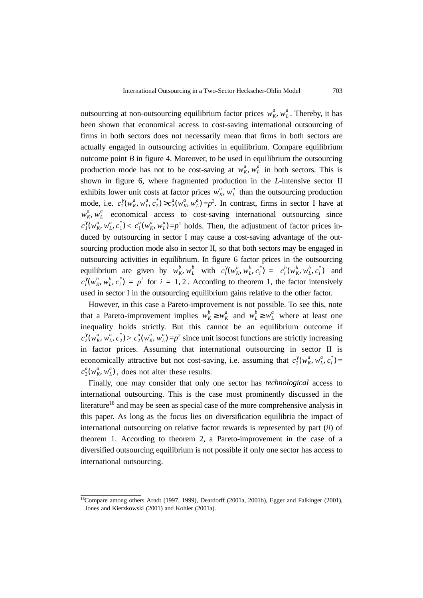outsourcing at non-outsourcing equilibrium factor prices  $w_K^a$ ,  $w_L^a$ . Thereby, it has been shown that economical access to cost-saving international outsourcing of firms in both sectors does not necessarily mean that firms in both sectors are actually engaged in outsourcing activities in equilibrium. Compare equilibrium outcome point  $B$  in figure 4. Moreover, to be used in equilibrium the outsourcing production mode has not to be cost-saving at  $w_K^a$ ,  $w_L^a$  in both sectors. This is shown in figure 6, where fragmented production in the *L*-intensive sector II exhibits lower unit costs at factor prices  $w_K^a$ ,  $w_L^a$  than the outsourcing production mode, i.e.  $c_2^{\gamma}(w_K^a, w_L^a, c_2^*) > c_2^a(w_K^a, w_L^a) = p^2$ . In contrast, firms in sector I have at  $w_k^a$ ,  $w_L^a$  economical access to cost-saving international outsourcing since  $c_1^{\gamma}(w_K^a, w_L^a, c_1^*) < c_1^a(w_K^a, w_L^a) = p^1$  holds. Then, the adjustment of factor prices induced by outsourcing in sector I may cause a cost-saving advantage of the outsourcing production mode also in sector II, so that both sectors may be engaged in outsourcing activities in equilibrium. In figure 6 factor prices in the outsourcing equilibrium are given by  $w_K^b$ ,  $w_L^b$  with  $c_i^{\gamma}(w_K^b, w_L^b, c_i^*) = c_i^b(w_K^b, w_L^b, c_i^*)$  and  $c_i^{\gamma}(w_k^b, w_L^b, c_i^*) = p^i$  for  $i = 1, 2$ . According to theorem 1, the factor intensively used in sector I in the outsourcing equilibrium gains relative to the other factor.

However, in this case a Pareto-improvement is not possible. To see this, note that a Pareto-improvement implies  $w_K^b \geq w_K^a$  and  $w_L^b \geq w_L^a$  where at least one inequality holds strictly. But this cannot be an equilibrium outcome if  $c_2^{\gamma}(w_k^a, w_L^a, c_2^*) > c_2^a(w_k^a, w_L^a) = p^2$  since unit isocost functions are strictly increasing in factor prices. Assuming that international outsourcing in sector II is economically attractive but not cost-saving, i.e. assuming that  $c_2^{\gamma}(w_K^a, w_L^a, c_i^*)$  =  $c_2^a(w_k^a, w_L^a)$ , does not alter these results.

Finally, one may consider that only one sector has *technological* access to international outsourcing. This is the case most prominently discussed in the literature<sup>18</sup> and may be seen as special case of the more comprehensive analysis in this paper. As long as the focus lies on diversification equilibria the impact of international outsourcing on relative factor rewards is represented by part (*ii*) of theorem 1. According to theorem 2, a Pareto-improvement in the case of a diversified outsourcing equilibrium is not possible if only one sector has access to international outsourcing.

<sup>18</sup>Compare among others Arndt (1997, 1999), Deardorff (2001a, 2001b), Egger and Falkinger (2001), Jones and Kierzkowski (2001) and Kohler (2001a).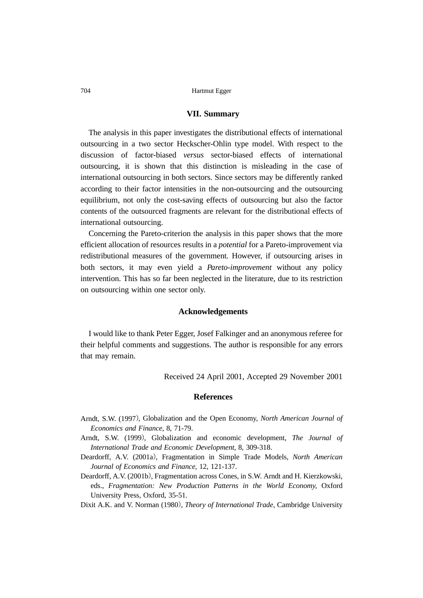# **VII. Summary**

The analysis in this paper investigates the distributional effects of international outsourcing in a two sector Heckscher-Ohlin type model. With respect to the discussion of factor-biased *versus* sector-biased effects of international outsourcing, it is shown that this distinction is misleading in the case of international outsourcing in both sectors. Since sectors may be differently ranked according to their factor intensities in the non-outsourcing and the outsourcing equilibrium, not only the cost-saving effects of outsourcing but also the factor contents of the outsourced fragments are relevant for the distributional effects of international outsourcing.

Concerning the Pareto-criterion the analysis in this paper shows that the more efficient allocation of resources results in a *potential* for a Pareto-improvement via redistributional measures of the government. However, if outsourcing arises in both sectors, it may even yield a *Pareto-improvement* without any policy intervention. This has so far been neglected in the literature, due to its restriction on outsourcing within one sector only.

# **Acknowledgements**

I would like to thank Peter Egger, Josef Falkinger and an anonymous referee for their helpful comments and suggestions. The author is responsible for any errors that may remain.

Received 24 April 2001, Accepted 29 November 2001

# **References**

- Arndt, S.W. (1997, Globalization and the Open Economy, *North American Journal of Economics and Finance,* 8, 71-79.
- Arndt, S.W. (1999, Globalization and economic development, *The Journal of International Trade and Economic Development,* 8, 309-318.
- Deardorff, A.V. (2001a, Fragmentation in Simple Trade Models, *North American Journal of Economics and Finance,* 12, 121-137.
- Deardorff, A.V. (2001b, Fragmentation across Cones, in S.W. Arndt and H. Kierzkowski, eds., *Fragmentation: New Production Patterns in the World Economy*, Oxford University Press, Oxford, 35-51.
- Dixit A.K. and V. Norman (1980, *Theory of International Trade*, Cambridge University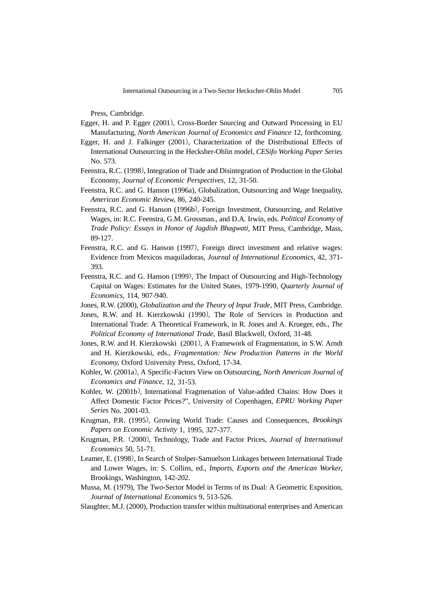Press, Cambridge.

- Egger, H. and P. Egger (2001, Cross-Border Sourcing and Outward Processing in EU Manufacturing, *North American Journal of Economics and Finance* 12, forthcoming.
- Egger, H. and J. Falkinger (2001, Characterization of the Distributional Effects of International Outsourcing in the Hecksher-Ohlin model, *CESifo Working Paper Series* No. 573.
- Feenstra, R.C. (1998, Integration of Trade and Disintegration of Production in the Global Economy, *Journal of Economic Perspectives,* 12, 31-50.
- Feenstra, R.C. and G. Hanson (1996a), Globalization, Outsourcing and Wage Inequality, *American Economic Review,* 86, 240-245.
- Feenstra, R.C. and G. Hanson (1996b, Foreign Investment, Outsourcing, and Relative Wages, in: R.C. Feenstra, G.M. Grossman., and D.A. Irwin, eds. *Political Economy of Trade Policy: Essays in Honor of Jagdish Bhagwati*, MIT Press, Cambridge, Mass, 89-127.
- Feenstra, R.C. and G. Hanson (1997), Foreign direct investment and relative wages: Evidence from Mexicos maquiladoras, *Journal of International Economics,* 42, 371- 393.
- Feenstra, R.C. and G. Hanson (1999, The Impact of Outsourcing and High-Technology Capital on Wages: Estimates for the United States, 1979-1990, *Quarterly Journal of Economics,* 114, 907-940.
- Jones, R.W. (2000)*, Globalization and the Theory of Input Trade*, MIT Press, Cambridge.
- Jones, R.W. and H. Kierzkowski (1990, The Role of Services in Production and International Trade: A Theoretical Framework, in R. Jones and A. Krueger, eds., *The Political Economy of International Trade*, Basil Blackwell, Oxford, 31-48.
- Jones, R.W. and H. Kierzkowski (2001, A Framework of Fragmentation, in S.W. Arndt and H. Kierzkowski, eds., *Fragmentation: New Production Patterns in the World Economy*, Oxford University Press, Oxford, 17-34.
- Kohler, W. (2001a, A Specific-Factors View on Outsourcing, *North American Journal of Economics and Finance,* 12, 31-53.
- Kohler, W. (2001b, International Fragmenation of Value-added Chains: How Does it Affect Domestic Factor Prices?", University of Copenhagen, *EPRU Working Paper Series* No. 2001-03.
- Krugman, P.R. (1995, Growing World Trade: Causes and Consequences, *Brookings Papers on Economic Activity* 1, 1995, 327-377.
- Krugman, P.R. 2000, Technology, Trade and Factor Prices, *Journal of International Economics* 50, 51-71.
- Leamer, E. (1998, In Search of Stolper-Samuelson Linkages between International Trade and Lower Wages, in: S. Collins, ed., *Imports, Exports and the American Worker*, Brookings, Washington, 142-202.
- Mussa, M. (1979), The Two-Sector Model in Terms of its Dual: A Geometric Exposition, *Journal of International Economics* 9, 513-526.
- Slaughter, M.J. (2000), Production transfer within multinational enterprises and American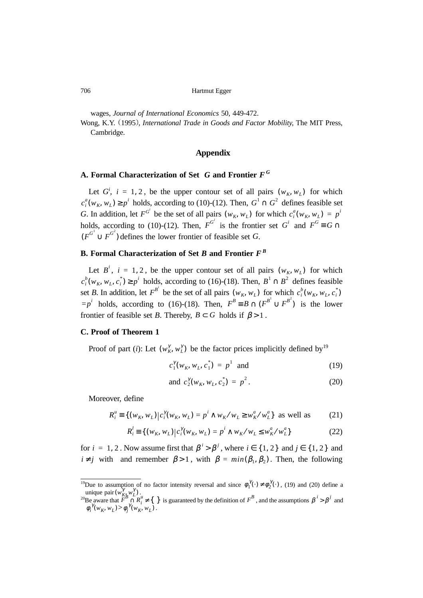wages, *Journal of International Economics* 50, 449-472.

Wong, K.Y. 1995, *International Trade in Goods and Factor Mobility*, The MIT Press, Cambridge.

# **Appendix**

# **A. Formal Characterization of Set** *G* **and Frontier** *F <sup>G</sup>*

Let  $G^i$ ,  $i = 1, 2$ , be the upper contour set of all pairs  $(w_K, w_L)$  for which  $c_i^a(w_K, w_L) \ge p^i$  holds, according to (10)-(12). Then,  $G^1 \cap G^2$  defines feasible set *G*. In addition, let  $F^{G^i}$  be the set of all pairs  $(w_K, w_L)$  for which  $c_i^a(w_K, w_L) = p^i$ holds, according to (10)-(12). Then,  $F^{G^i}$  is the frontier set  $G^i$  and  $F^G \equiv G \cap$  $(F^{G^1} \cup F^{G^2})$  defines the lower frontier of feasible set *G*.

# **B. Formal Characterization of Set** *B* **and Frontier** *F<sup>B</sup>*

Let  $B^i$ ,  $i = 1, 2$ , be the upper contour set of all pairs  $(w_K, w_L)$  for which  $c_i^b(w_K, w_L, c_i^*) \ge p^i$  holds, according to (16)-(18). Then,  $B^1 \cap B^2$  defines feasible set *B*. In addition, let  $F^{B^i}$  be the set of all pairs  $(w_K, w_L)$  for which  $c_i^b(w_K, w_L, c_i^*)$  $=p^{i}$  holds, according to (16)-(18). Then,  $F^{B} \equiv B \cap (F^{B^{i}} \cup F^{B^{2}})$  is the lower frontier of feasible set *B*. Thereby,  $B \subset G$  holds if  $\beta > 1$ .

#### **C. Proof of Theorem 1**

Proof of part (*i*): Let  $(w_K^{\gamma}, w_L^{\gamma})$  be the factor prices implicitly defined by<sup>19</sup>

$$
c_1^{\gamma}(w_K, w_L, c_1^*) = p^1 \text{ and } (19)
$$

and 
$$
c_2^{\gamma}(w_K, w_L, c_2^*) = p^2
$$
. (20)

Moreover, define

$$
R_i^u \equiv \{ (w_K, w_L) \, | \, c_i^{\gamma} (w_K, w_L) = p^i \wedge w_K / w_L \ge w_K^a / w_L^a \} \text{ as well as } (21)
$$

$$
R_i^l = \{ (w_K, w_L) | c_i^{\gamma}(w_K, w_L) = p^i \wedge w_K / w_L \le w_K^a / w_L^a \}
$$
 (22)

for  $i = 1, 2$ . Now assume first that  $\beta^{i} > \beta^{j}$ , where  $i \in \{1, 2\}$  and  $j \in \{1, 2\}$  and  $i \neq j$  with and remember  $\beta > 1$ , with  $\beta = min(\beta_1, \beta_2)$ . Then, the following

<sup>&</sup>lt;sup>19</sup>Due to assumption of no factor intensity reversal and since  $\phi_1^{\gamma}(\cdot) \neq \phi_2^{\gamma}(\cdot)$ , (19) and (20) define a unique pair  $(w'_{K}, w'_{L})$ .  $(w_{K_R}^{\gamma} w_L^{\gamma})$ 

<sup>&</sup>lt;sup>20</sup>Be aware that  $F^B \cap R_i^u \neq \{\}$  is guaranteed by the definition of  $F^B$ , and the assumptions  $\beta^1 > \beta^1$  and .  $F^B \cap R_i^u \neq \{ \}$  is guaranteed by the definition of  $F^B$ , and the assumptions  $\beta^i > \beta^j$  $\phi_i^{\gamma}(w_K, w_L) > \phi_j^{\gamma}(w_K, w_L)$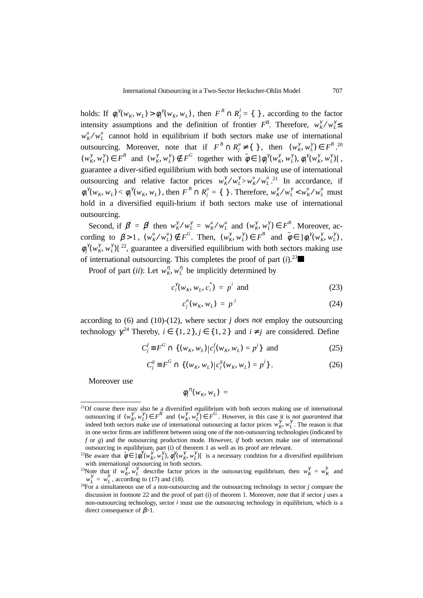holds: If  $\phi_i^{\gamma}(w_K, w_L) > \phi_j^{\gamma}(w_K, w_L)$ , then  $F^B \cap R_j^l = \{\}$ , according to the factor intensity assumptions and the definition of frontier  $F^B$ . Therefore,  $w_K^{\gamma}/w_L^{\gamma} \leq$  $w_K^a/w_L^a$  cannot hold in equilibrium if both sectors make use of international outsourcing. Moreover, note that if  $F^B \cap R_j^u \neq \{\}$ , then  $(w_K^{\gamma}, w_L^{\gamma}) \in F^B$ .<sup>20</sup>  $(w_K^{\gamma}, w_L^{\gamma}) \in F^B$  and  $(w_K^{\gamma}, w_L^{\gamma}) \notin F^G$  together with  $\overline{\phi} \in ]\phi_j^{\gamma}(w_K^{\gamma}, w_L^{\gamma}), \phi_i^{\gamma}(w_K^{\gamma}, w_L^{\gamma})[$ , guarantee a diver-sified equilibrium with both sectors making use of international outsourcing and relative factor prices  $w_K^{\gamma}/w_L^{\gamma} > w_K^{\alpha}/w_L^{\alpha}$ .<sup>21</sup> In accordance, if  $\phi_i^{\gamma}(w_K, w_L) < \phi_j^{\gamma}(w_K, w_L)$ , then  $F^B \cap R_j^u = \{\}\$ . Therefore,  $w_K^{\gamma}/w_L^{\gamma} < w_K^a/w_L^a$  must hold in a diversified equili-brium if both sectors make use of international outsourcing.

Second, if  $\beta^i = \beta^j$  then  $w_K^{\gamma}/w_L^{\gamma} = w_K^a/w_L^a$  and  $(w_K^{\gamma}, w_L^{\gamma}) \in F^B$ . Moreover, according to  $\beta > 1$ ,  $(w_K^a/w_L^a) \notin F^G$ . Then,  $(w_K^{\gamma}, w_L^{\gamma}) \in F^B$  and  $\overline{\phi} \in ]\phi_i^{\gamma}(w_K^{\gamma}, w_L^{\gamma})$ ,  $\phi_j^{\gamma}(w_k^{\gamma}, w_L^{\gamma})$ [<sup>22</sup>, guarantee a diversified equilibrium with both sectors making use of international outsourcing. This completes the proof of part  $(i)$ .<sup>23</sup>

Proof of part (*ii*): Let  $w_K^{\eta}, w_L^{\eta}$  be implicitly determined by

$$
c_i^{\gamma}(w_K, w_L, c_i^*) = p^i \text{ and } (23)
$$

$$
c_j^a(w_K, w_L) = p^j \tag{24}
$$

according to (6) and (10)-(12), where sector *j does not* employ the outsourcing technology  $\chi^{24}$  Thereby,  $i \in \{1, 2\}$ ,  $j \in \{1, 2\}$  and  $i \neq j$  are considered. Define

$$
C_j^f \equiv F^G \cap \{ (w_K, w_L) | c_j^f(w_K, w_L) = p^j \} \text{ and } (25)
$$

$$
C_j^g \equiv F^G \cap \{ (w_K, w_L) \, | \, c_j^g(w_K, w_L) = p^j \} \,. \tag{26}
$$

Moreover use

$$
\phi_j^{\eta}(w_K, w_L) =
$$

<sup>&</sup>lt;sup>21</sup>Of course there may also be a diversified equilibrium with both sectors making use of international outsourcing if  $(w_K^{\gamma}, w_L^{\gamma}) \in F^B$  and  $(w_K^{\gamma}, w_L^{\gamma}) \in F^G$ . However, in this case it is *not guaranteed* that indeed both sectors make use of international outsourcing at factor prices  $w_K^{\gamma}$ ,  $w_L^{\gamma}$ . The reason is that in one sector firms are indifferent between using one of the non-outsourcing technologies (indicated by *f* or *g*) and the outsourcing production mode. However, *if* both sectors make use of international outsourcing in equilibrium, part (i) of theorem 1 as well as its proof are relevant.

<sup>&</sup>lt;sup>22</sup>Be aware that  $\overline{\phi} \in ]\phi_i^{\gamma}(w_K^{\gamma}, w_L^{\gamma}), \phi_j^{\gamma}(w_K^{\gamma}, w_L^{\gamma})]$  is a necessary condition for a diversified equilibrium with international outsourcing in both sectors.

<sup>&</sup>lt;sup>23</sup>Note that if  $w_K^{\gamma} w_L^{\gamma}$  describe factor prices in the outsourcing equilibrium, then  $w_K^{\gamma} = w_K^b$  and  $w_L^{\gamma} = w_L^b$ , according to (17) and (18).

 $24$ For a simultaneous use of a non-outsourcing and the outsourcing technology in sector *j* compare the discussion in footnote 22 and the proof of part (i) of theorem 1. Moreover, note that if sector *j* uses a non-outsourcing technology, sector *i* must use the outsourcing technology in equilibrium, which is a direct consequence of  $\beta$ >1.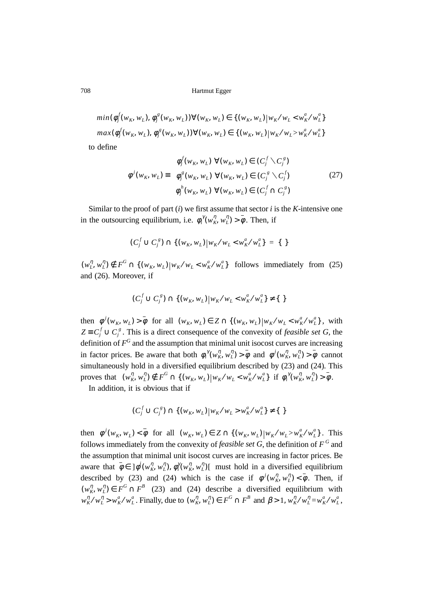$$
\begin{cases} min(\phi_j^f(w_K, w_L), \phi_j^g(w_K, w_L)) \forall (w_K, w_L) \in \{ (w_K, w_L) | w_K / w_L < w_K^a / w_L^a \} \\ max(\phi_j^f(w_K, w_L), \phi_j^g(w_K, w_L)) \forall (w_K, w_L) \in \{ (w_K, w_L) | w_K / w_L > w_K^a / w_L^a \} \end{cases}
$$

to define

$$
\phi^j(w_K, w_L) \equiv \begin{cases} \phi_j^f(w_K, w_L) \ \forall (w_K, w_L) \in (C_j^f \setminus C_j^g) \\ \phi_j^g(w_K, w_L) \ \forall (w_K, w_L) \in (C_j^g \setminus C_j^f) \\ \phi_j^h(w_K, w_L) \ \forall (w_K, w_L) \in (C_j^f \cap C_j^g) \end{cases}
$$
 (27)

Similar to the proof of part (*i*) we first assume that sector *i* is the *K*-intensive one in the outsourcing equilibrium, i.e.  $\phi_i^{\gamma}(w_k^{\eta}, w_L^{\eta}) > \bar{\phi}$ . Then, if

$$
(C_j^f \cup C_j^g) \cap \{(w_K, w_L)|w_K/w_L < w_K^a/w_L^a\} = \{\}
$$

 $(w_L^{\eta}, w_L^{\eta}) \notin F^G \cap \{(w_K, w_L) | w_K / w_L < w_K^a / w_L^a\}$  follows immediately from (25) and (26). Moreover, if

$$
(C_j^f \cup C_j^g) \cap \{(w_K, w_L)|w_K/w_L < w_K^a/w_L^a\} \neq \{\ \}
$$

then  $\phi^{j}(w_{K}, w_{L}) > \overline{\phi}$  for all  $(w_{K}, w_{L}) \in Z \cap \{(w_{K}, w_{L}) | w_{K}/w_{L} < w_{K}/w_{L}^{a}\},$  with  $Z \equiv C_j^f \cup C_j^g$ . This is a direct consequence of the convexity of *feasible set G*, the definition of  $F^G$  and the assumption that minimal unit isocost curves are increasing in factor prices. Be aware that both  $\phi_i^{\gamma}(w_K^{\eta}, w_L^{\eta}) > \overline{\phi}$  and  $\phi^j(w_K^{\eta}, w_L^{\eta}) > \overline{\phi}$  cannot simultaneously hold in a diversified equilibrium described by (23) and (24). This proves that  $(w_K^{\eta}, w_L^{\eta}) \notin F^G \cap \{(w_K, w_L) | w_K / w_L < w_K^{\alpha} / w_L^{\alpha}\}$  if  $\phi_i^{\gamma}(w_K^{\eta}, w_L^{\eta}) > \overline{\phi}$ .

In addition, it is obvious that if

$$
(C_j^f \cup C_j^g) \cap \{(w_K, w_L)|w_K/w_L > w_K^a/w_L^a\} \neq \{\ \}
$$

then  $\phi^{j}(w_{K}, w_{L}) < \bar{\phi}$  for all  $(w_{K}, w_{L}) \in Z \cap \{(w_{K}, w_{L}) | w_{K}/w_{L} > w_{K}^{a}/w_{L}^{a}\}\)$ . This follows immediately from the convexity of *feasible set*  $G$ , the definition of  $F^G$  and the assumption that minimal unit isocost curves are increasing in factor prices. Be aware that  $\overline{\phi} \in J \phi'(w_K^{\eta}, w_L^{\eta}), \phi_i^{\gamma}(w_K^{\eta}, w_L^{\eta})$  must hold in a diversified equilibrium described by (23) and (24) which is the case if  $\phi^j(w_k^{\eta}, w_l^{\eta}) < \overline{\phi}$ . Then, if  $(w_K^{\eta}, w_L^{\eta}) \in F^G \cap F^B$  (23) and (24) describe a diversified equilibrium with  $w_K^{\eta}/w_L^{\eta} > w_K^a/w_L^a$ . Finally, due to  $(w_K^{\eta}, w_L^{\eta}) \in F^G \cap F^B$  and  $\beta > 1$ ,  $w_K^{\eta}/w_L^{\eta} = w_K^a/w_L^a$ ,